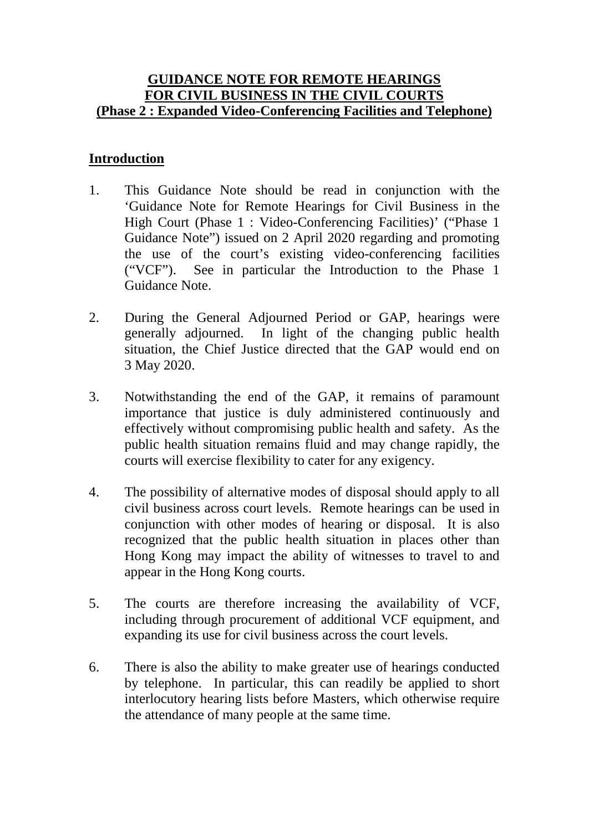#### **GUIDANCE NOTE FOR REMOTE HEARINGS FOR CIVIL BUSINESS IN THE CIVIL COURTS (Phase 2 : Expanded Video-Conferencing Facilities and Telephone)**

### **Introduction**

- 1. This Guidance Note should be read in conjunction with the 'Guidance Note for Remote Hearings for Civil Business in the High Court (Phase 1 : Video-Conferencing Facilities)' ("Phase 1 Guidance Note") issued on 2 April 2020 regarding and promoting the use of the court's existing video-conferencing facilities ("VCF"). See in particular the Introduction to the Phase 1 Guidance Note.
- 2. During the General Adjourned Period or GAP, hearings were generally adjourned. In light of the changing public health situation, the Chief Justice directed that the GAP would end on 3 May 2020.
- 3. Notwithstanding the end of the GAP, it remains of paramount importance that justice is duly administered continuously and effectively without compromising public health and safety. As the public health situation remains fluid and may change rapidly, the courts will exercise flexibility to cater for any exigency.
- 4. The possibility of alternative modes of disposal should apply to all civil business across court levels. Remote hearings can be used in conjunction with other modes of hearing or disposal. It is also recognized that the public health situation in places other than Hong Kong may impact the ability of witnesses to travel to and appear in the Hong Kong courts.
- 5. The courts are therefore increasing the availability of VCF, including through procurement of additional VCF equipment, and expanding its use for civil business across the court levels.
- 6. There is also the ability to make greater use of hearings conducted by telephone. In particular, this can readily be applied to short interlocutory hearing lists before Masters, which otherwise require the attendance of many people at the same time.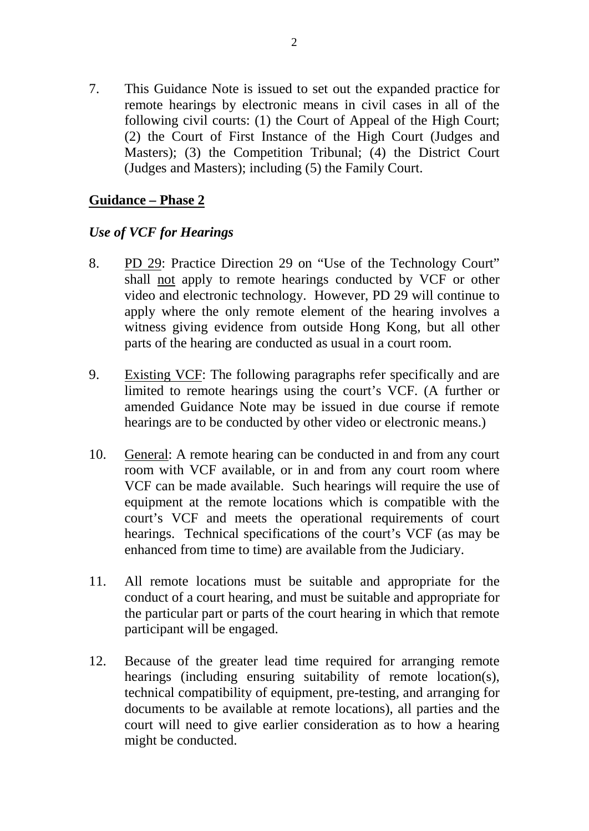7. This Guidance Note is issued to set out the expanded practice for remote hearings by electronic means in civil cases in all of the following civil courts: (1) the Court of Appeal of the High Court; (2) the Court of First Instance of the High Court (Judges and Masters); (3) the Competition Tribunal; (4) the District Court (Judges and Masters); including (5) the Family Court.

#### **Guidance – Phase 2**

#### *Use of VCF for Hearings*

- 8. PD 29: Practice Direction 29 on "Use of the Technology Court" shall not apply to remote hearings conducted by VCF or other video and electronic technology. However, PD 29 will continue to apply where the only remote element of the hearing involves a witness giving evidence from outside Hong Kong, but all other parts of the hearing are conducted as usual in a court room.
- 9. Existing VCF: The following paragraphs refer specifically and are limited to remote hearings using the court's VCF. (A further or amended Guidance Note may be issued in due course if remote hearings are to be conducted by other video or electronic means.)
- 10. General: A remote hearing can be conducted in and from any court room with VCF available, or in and from any court room where VCF can be made available. Such hearings will require the use of equipment at the remote locations which is compatible with the court's VCF and meets the operational requirements of court hearings. Technical specifications of the court's VCF (as may be enhanced from time to time) are available from the Judiciary.
- 11. All remote locations must be suitable and appropriate for the conduct of a court hearing, and must be suitable and appropriate for the particular part or parts of the court hearing in which that remote participant will be engaged.
- 12. Because of the greater lead time required for arranging remote hearings (including ensuring suitability of remote location(s), technical compatibility of equipment, pre-testing, and arranging for documents to be available at remote locations), all parties and the court will need to give earlier consideration as to how a hearing might be conducted.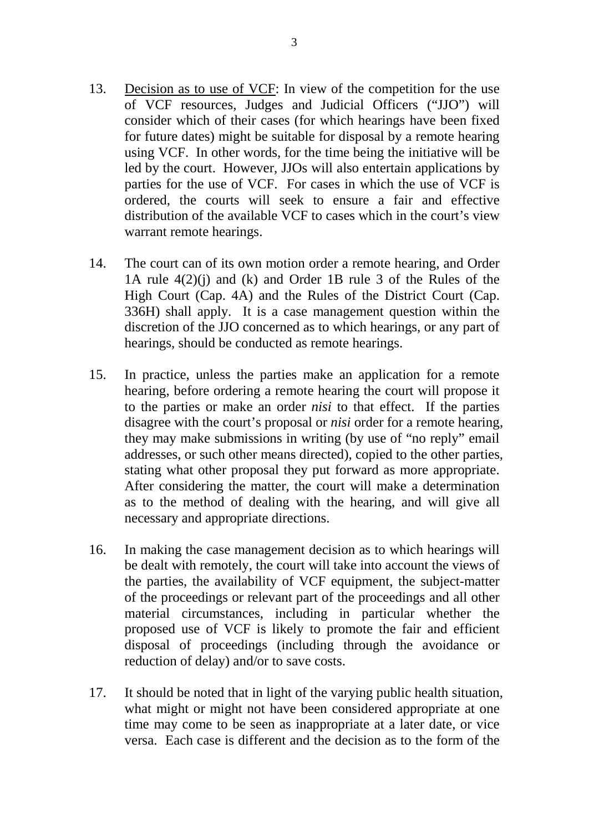- 13. Decision as to use of VCF: In view of the competition for the use of VCF resources, Judges and Judicial Officers ("JJO") will consider which of their cases (for which hearings have been fixed for future dates) might be suitable for disposal by a remote hearing using VCF. In other words, for the time being the initiative will be led by the court. However, JJOs will also entertain applications by parties for the use of VCF. For cases in which the use of VCF is ordered, the courts will seek to ensure a fair and effective distribution of the available VCF to cases which in the court's view warrant remote hearings.
- 14. The court can of its own motion order a remote hearing, and Order 1A rule 4(2)(j) and (k) and Order 1B rule 3 of the Rules of the High Court (Cap. 4A) and the Rules of the District Court (Cap. 336H) shall apply. It is a case management question within the discretion of the JJO concerned as to which hearings, or any part of hearings, should be conducted as remote hearings.
- 15. In practice, unless the parties make an application for a remote hearing, before ordering a remote hearing the court will propose it to the parties or make an order *nisi* to that effect. If the parties disagree with the court's proposal or *nisi* order for a remote hearing, they may make submissions in writing (by use of "no reply" email addresses, or such other means directed), copied to the other parties, stating what other proposal they put forward as more appropriate. After considering the matter, the court will make a determination as to the method of dealing with the hearing, and will give all necessary and appropriate directions.
- 16. In making the case management decision as to which hearings will be dealt with remotely, the court will take into account the views of the parties, the availability of VCF equipment, the subject-matter of the proceedings or relevant part of the proceedings and all other material circumstances, including in particular whether the proposed use of VCF is likely to promote the fair and efficient disposal of proceedings (including through the avoidance or reduction of delay) and/or to save costs.
- 17. It should be noted that in light of the varying public health situation, what might or might not have been considered appropriate at one time may come to be seen as inappropriate at a later date, or vice versa. Each case is different and the decision as to the form of the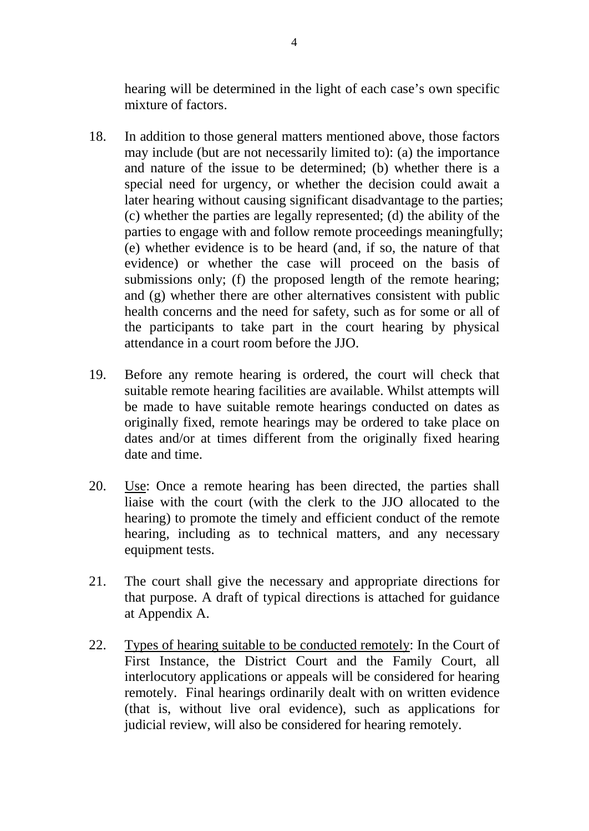hearing will be determined in the light of each case's own specific mixture of factors.

- 18. In addition to those general matters mentioned above, those factors may include (but are not necessarily limited to): (a) the importance and nature of the issue to be determined; (b) whether there is a special need for urgency, or whether the decision could await a later hearing without causing significant disadvantage to the parties; (c) whether the parties are legally represented; (d) the ability of the parties to engage with and follow remote proceedings meaningfully; (e) whether evidence is to be heard (and, if so, the nature of that evidence) or whether the case will proceed on the basis of submissions only; (f) the proposed length of the remote hearing; and (g) whether there are other alternatives consistent with public health concerns and the need for safety, such as for some or all of the participants to take part in the court hearing by physical attendance in a court room before the JJO.
- 19. Before any remote hearing is ordered, the court will check that suitable remote hearing facilities are available. Whilst attempts will be made to have suitable remote hearings conducted on dates as originally fixed, remote hearings may be ordered to take place on dates and/or at times different from the originally fixed hearing date and time.
- 20. Use: Once a remote hearing has been directed, the parties shall liaise with the court (with the clerk to the JJO allocated to the hearing) to promote the timely and efficient conduct of the remote hearing, including as to technical matters, and any necessary equipment tests.
- 21. The court shall give the necessary and appropriate directions for that purpose. A draft of typical directions is attached for guidance at Appendix A.
- 22. Types of hearing suitable to be conducted remotely: In the Court of First Instance, the District Court and the Family Court, all interlocutory applications or appeals will be considered for hearing remotely. Final hearings ordinarily dealt with on written evidence (that is, without live oral evidence), such as applications for judicial review, will also be considered for hearing remotely.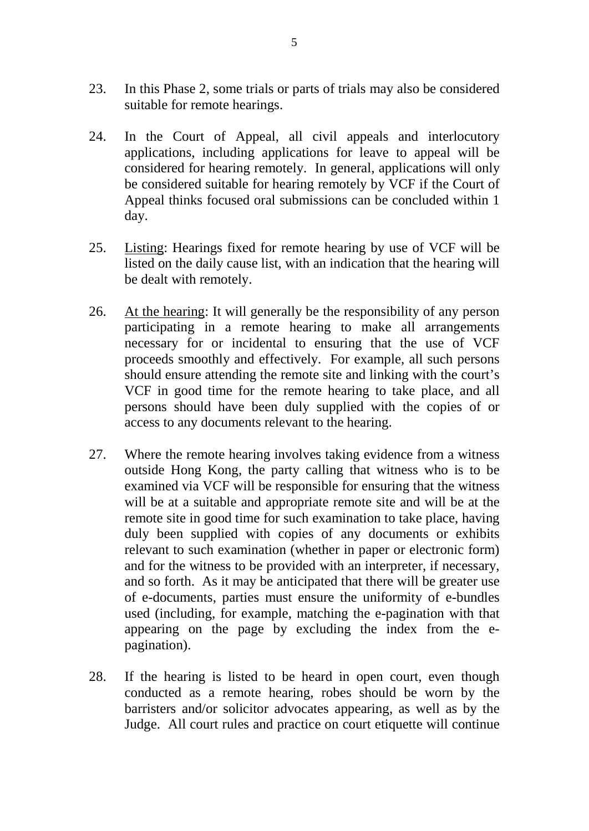- 23. In this Phase 2, some trials or parts of trials may also be considered suitable for remote hearings.
- 24. In the Court of Appeal, all civil appeals and interlocutory applications, including applications for leave to appeal will be considered for hearing remotely. In general, applications will only be considered suitable for hearing remotely by VCF if the Court of Appeal thinks focused oral submissions can be concluded within 1 day.
- 25. Listing: Hearings fixed for remote hearing by use of VCF will be listed on the daily cause list, with an indication that the hearing will be dealt with remotely.
- 26. At the hearing: It will generally be the responsibility of any person participating in a remote hearing to make all arrangements necessary for or incidental to ensuring that the use of VCF proceeds smoothly and effectively. For example, all such persons should ensure attending the remote site and linking with the court's VCF in good time for the remote hearing to take place, and all persons should have been duly supplied with the copies of or access to any documents relevant to the hearing.
- 27. Where the remote hearing involves taking evidence from a witness outside Hong Kong, the party calling that witness who is to be examined via VCF will be responsible for ensuring that the witness will be at a suitable and appropriate remote site and will be at the remote site in good time for such examination to take place, having duly been supplied with copies of any documents or exhibits relevant to such examination (whether in paper or electronic form) and for the witness to be provided with an interpreter, if necessary, and so forth. As it may be anticipated that there will be greater use of e-documents, parties must ensure the uniformity of e-bundles used (including, for example, matching the e-pagination with that appearing on the page by excluding the index from the epagination).
- 28. If the hearing is listed to be heard in open court, even though conducted as a remote hearing, robes should be worn by the barristers and/or solicitor advocates appearing, as well as by the Judge. All court rules and practice on court etiquette will continue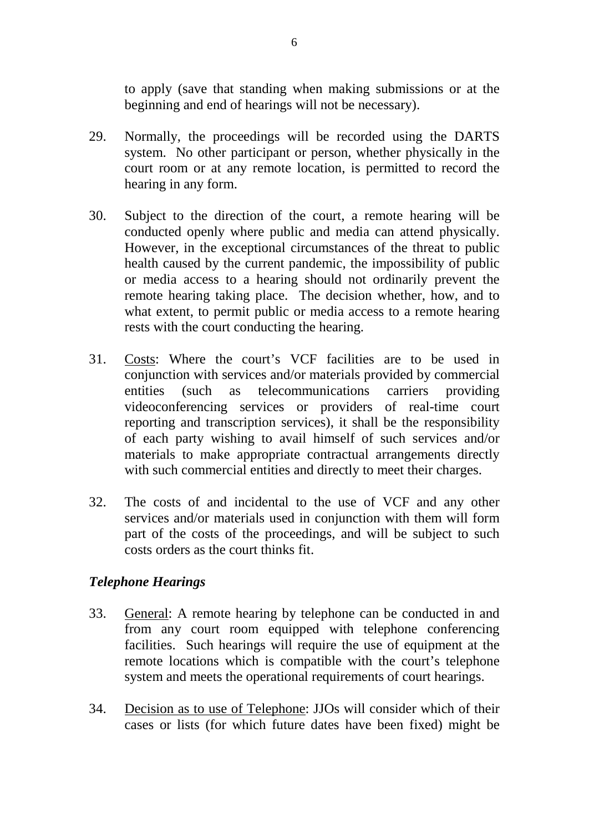to apply (save that standing when making submissions or at the beginning and end of hearings will not be necessary).

- 29. Normally, the proceedings will be recorded using the DARTS system. No other participant or person, whether physically in the court room or at any remote location, is permitted to record the hearing in any form.
- 30. Subject to the direction of the court, a remote hearing will be conducted openly where public and media can attend physically. However, in the exceptional circumstances of the threat to public health caused by the current pandemic, the impossibility of public or media access to a hearing should not ordinarily prevent the remote hearing taking place. The decision whether, how, and to what extent, to permit public or media access to a remote hearing rests with the court conducting the hearing.
- 31. Costs: Where the court's VCF facilities are to be used in conjunction with services and/or materials provided by commercial entities (such as telecommunications carriers providing videoconferencing services or providers of real-time court reporting and transcription services), it shall be the responsibility of each party wishing to avail himself of such services and/or materials to make appropriate contractual arrangements directly with such commercial entities and directly to meet their charges.
- 32. The costs of and incidental to the use of VCF and any other services and/or materials used in conjunction with them will form part of the costs of the proceedings, and will be subject to such costs orders as the court thinks fit.

#### *Telephone Hearings*

- 33. General: A remote hearing by telephone can be conducted in and from any court room equipped with telephone conferencing facilities. Such hearings will require the use of equipment at the remote locations which is compatible with the court's telephone system and meets the operational requirements of court hearings.
- 34. Decision as to use of Telephone: JJOs will consider which of their cases or lists (for which future dates have been fixed) might be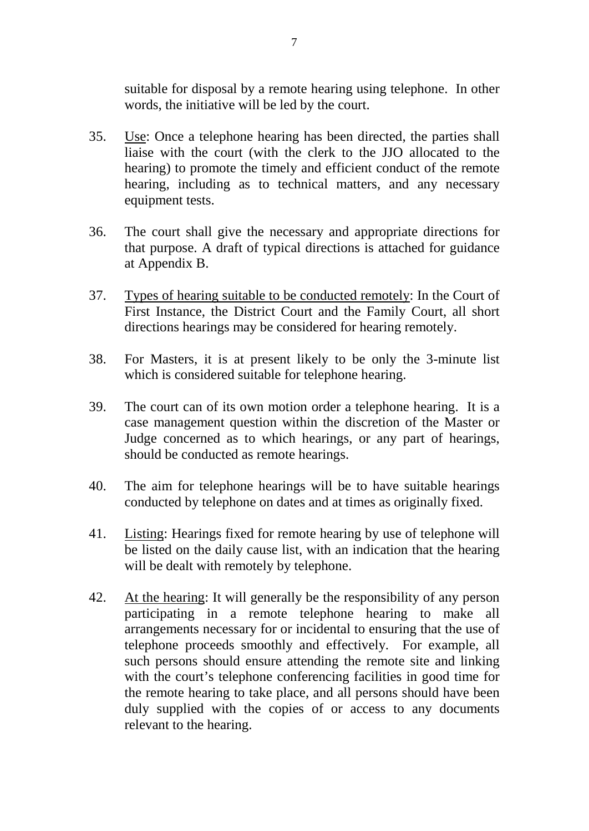suitable for disposal by a remote hearing using telephone. In other words, the initiative will be led by the court.

- 35. Use: Once a telephone hearing has been directed, the parties shall liaise with the court (with the clerk to the JJO allocated to the hearing) to promote the timely and efficient conduct of the remote hearing, including as to technical matters, and any necessary equipment tests.
- 36. The court shall give the necessary and appropriate directions for that purpose. A draft of typical directions is attached for guidance at Appendix B.
- 37. Types of hearing suitable to be conducted remotely: In the Court of First Instance, the District Court and the Family Court, all short directions hearings may be considered for hearing remotely.
- 38. For Masters, it is at present likely to be only the 3-minute list which is considered suitable for telephone hearing.
- 39. The court can of its own motion order a telephone hearing. It is a case management question within the discretion of the Master or Judge concerned as to which hearings, or any part of hearings, should be conducted as remote hearings.
- 40. The aim for telephone hearings will be to have suitable hearings conducted by telephone on dates and at times as originally fixed.
- 41. Listing: Hearings fixed for remote hearing by use of telephone will be listed on the daily cause list, with an indication that the hearing will be dealt with remotely by telephone.
- 42. At the hearing: It will generally be the responsibility of any person participating in a remote telephone hearing to make all arrangements necessary for or incidental to ensuring that the use of telephone proceeds smoothly and effectively. For example, all such persons should ensure attending the remote site and linking with the court's telephone conferencing facilities in good time for the remote hearing to take place, and all persons should have been duly supplied with the copies of or access to any documents relevant to the hearing.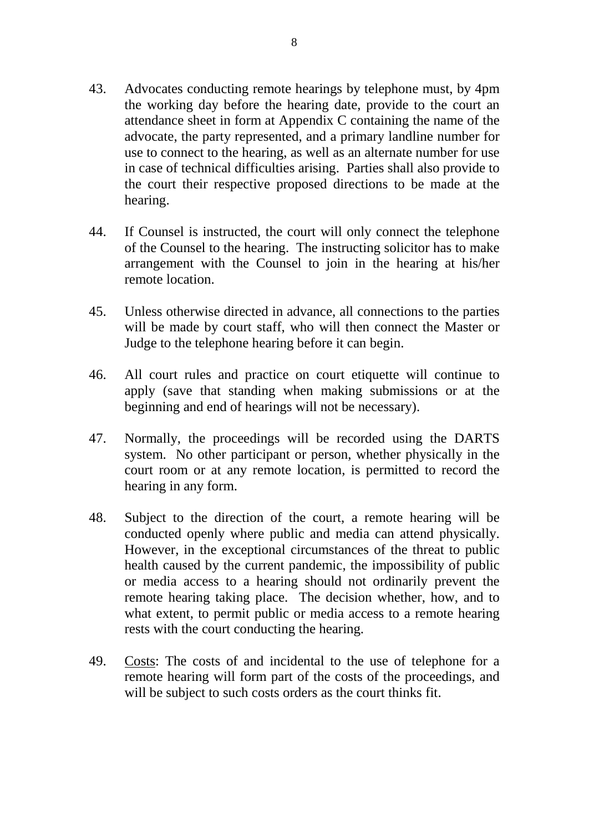- 43. Advocates conducting remote hearings by telephone must, by 4pm the working day before the hearing date, provide to the court an attendance sheet in form at Appendix C containing the name of the advocate, the party represented, and a primary landline number for use to connect to the hearing, as well as an alternate number for use in case of technical difficulties arising. Parties shall also provide to the court their respective proposed directions to be made at the hearing.
- 44. If Counsel is instructed, the court will only connect the telephone of the Counsel to the hearing. The instructing solicitor has to make arrangement with the Counsel to join in the hearing at his/her remote location.
- 45. Unless otherwise directed in advance, all connections to the parties will be made by court staff, who will then connect the Master or Judge to the telephone hearing before it can begin.
- 46. All court rules and practice on court etiquette will continue to apply (save that standing when making submissions or at the beginning and end of hearings will not be necessary).
- 47. Normally, the proceedings will be recorded using the DARTS system. No other participant or person, whether physically in the court room or at any remote location, is permitted to record the hearing in any form.
- 48. Subject to the direction of the court, a remote hearing will be conducted openly where public and media can attend physically. However, in the exceptional circumstances of the threat to public health caused by the current pandemic, the impossibility of public or media access to a hearing should not ordinarily prevent the remote hearing taking place. The decision whether, how, and to what extent, to permit public or media access to a remote hearing rests with the court conducting the hearing.
- 49. Costs: The costs of and incidental to the use of telephone for a remote hearing will form part of the costs of the proceedings, and will be subject to such costs orders as the court thinks fit.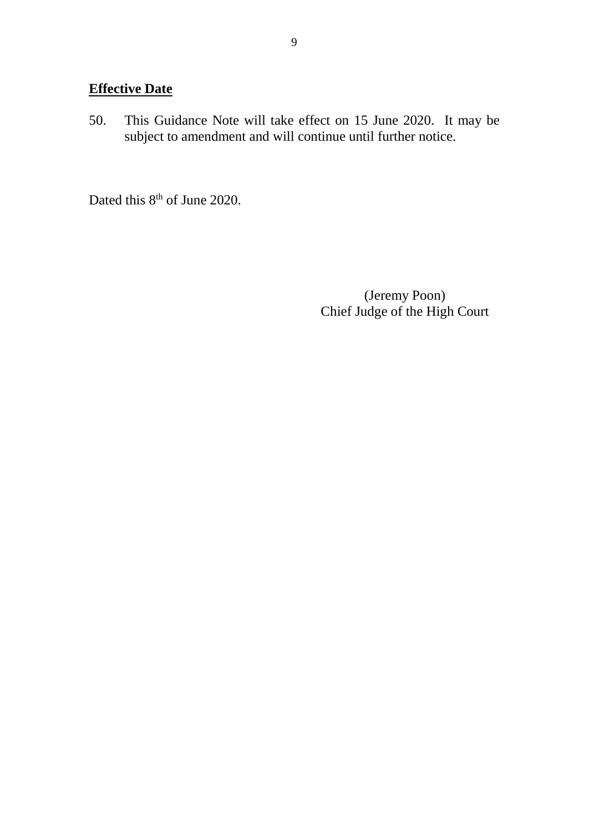## **Effective Date**

50. This Guidance Note will take effect on 15 June 2020. It may be subject to amendment and will continue until further notice.

Dated this 8<sup>th</sup> of June 2020.

(Jeremy Poon) Chief Judge of the High Court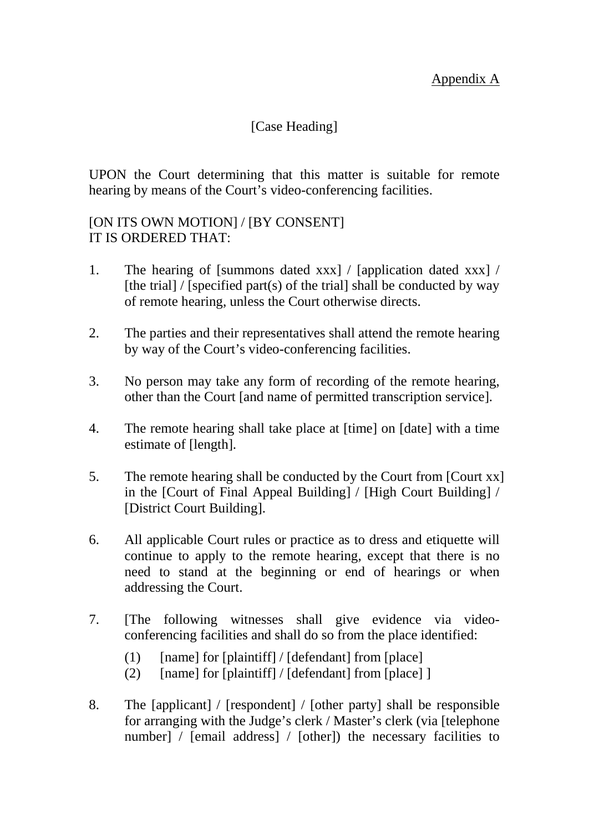Appendix A

### [Case Heading]

UPON the Court determining that this matter is suitable for remote hearing by means of the Court's video-conferencing facilities.

### [ON ITS OWN MOTION] / [BY CONSENT] IT IS ORDERED THAT:

- 1. The hearing of [summons dated xxx] / [application dated xxx] / [the trial] / [specified part(s) of the trial] shall be conducted by way of remote hearing, unless the Court otherwise directs.
- 2. The parties and their representatives shall attend the remote hearing by way of the Court's video-conferencing facilities.
- 3. No person may take any form of recording of the remote hearing, other than the Court [and name of permitted transcription service].
- 4. The remote hearing shall take place at [time] on [date] with a time estimate of [length].
- 5. The remote hearing shall be conducted by the Court from [Court xx] in the [Court of Final Appeal Building] / [High Court Building] / [District Court Building].
- 6. All applicable Court rules or practice as to dress and etiquette will continue to apply to the remote hearing, except that there is no need to stand at the beginning or end of hearings or when addressing the Court.
- 7. [The following witnesses shall give evidence via videoconferencing facilities and shall do so from the place identified:
	- $(1)$  [name] for [plaintiff] / [defendant] from [place]
	- (2)  $[name]$  for  $[plaintext] / [defendant]$  from  $[place]$
- 8. The [applicant] / [respondent] / [other party] shall be responsible for arranging with the Judge's clerk / Master's clerk (via [telephone number] / [email address] / [other]) the necessary facilities to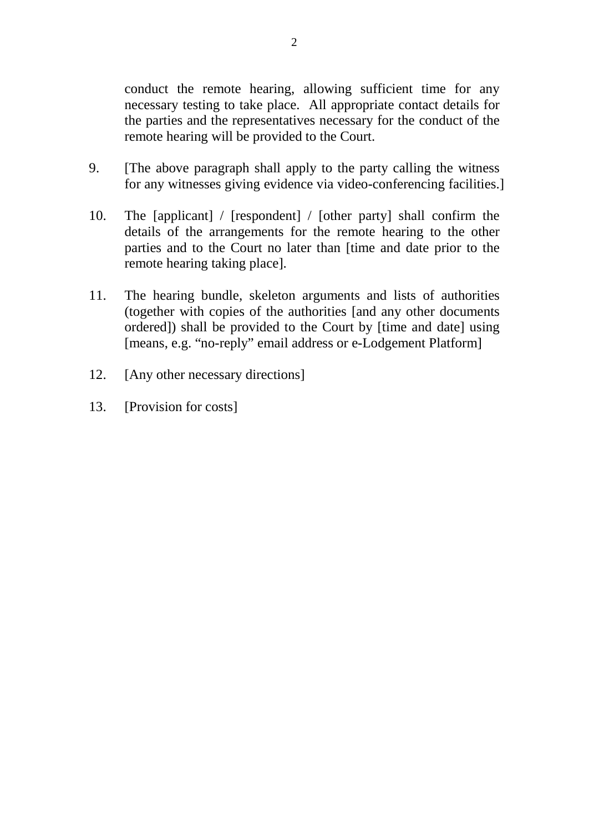conduct the remote hearing, allowing sufficient time for any necessary testing to take place. All appropriate contact details for the parties and the representatives necessary for the conduct of the remote hearing will be provided to the Court.

- 9. [The above paragraph shall apply to the party calling the witness for any witnesses giving evidence via video-conferencing facilities.]
- 10. The [applicant] / [respondent] / [other party] shall confirm the details of the arrangements for the remote hearing to the other parties and to the Court no later than [time and date prior to the remote hearing taking place].
- 11. The hearing bundle, skeleton arguments and lists of authorities (together with copies of the authorities [and any other documents ordered]) shall be provided to the Court by [time and date] using [means, e.g. "no-reply" email address or e-Lodgement Platform]
- 12. [Any other necessary directions]
- 13. [Provision for costs]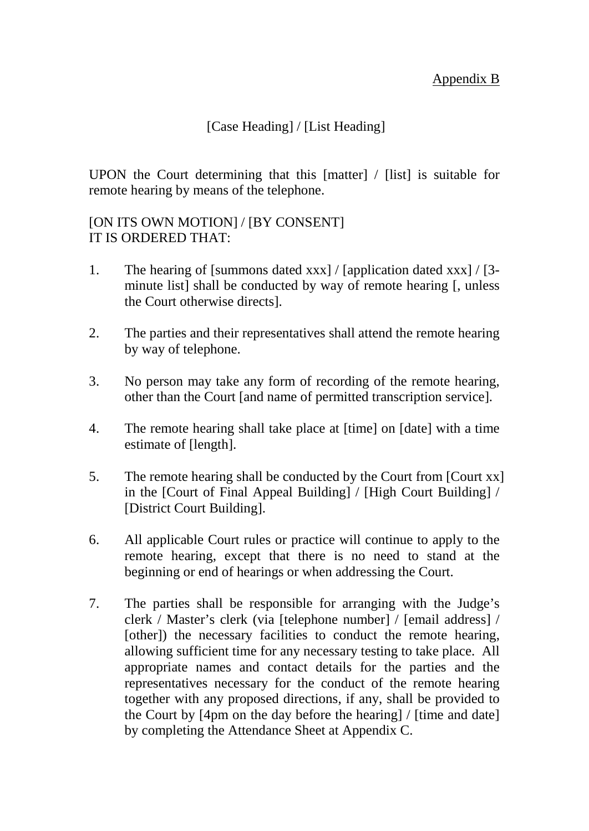## [Case Heading] / [List Heading]

UPON the Court determining that this [matter] / [list] is suitable for remote hearing by means of the telephone.

#### [ON ITS OWN MOTION] / [BY CONSENT] IT IS ORDERED THAT:

- 1. The hearing of [summons dated xxx] / [application dated xxx] / [3 minute list] shall be conducted by way of remote hearing [, unless the Court otherwise directs].
- 2. The parties and their representatives shall attend the remote hearing by way of telephone.
- 3. No person may take any form of recording of the remote hearing, other than the Court [and name of permitted transcription service].
- 4. The remote hearing shall take place at [time] on [date] with a time estimate of [length].
- 5. The remote hearing shall be conducted by the Court from [Court xx] in the [Court of Final Appeal Building] / [High Court Building] / [District Court Building].
- 6. All applicable Court rules or practice will continue to apply to the remote hearing, except that there is no need to stand at the beginning or end of hearings or when addressing the Court.
- 7. The parties shall be responsible for arranging with the Judge's clerk / Master's clerk (via [telephone number] / [email address] / [other]) the necessary facilities to conduct the remote hearing, allowing sufficient time for any necessary testing to take place. All appropriate names and contact details for the parties and the representatives necessary for the conduct of the remote hearing together with any proposed directions, if any, shall be provided to the Court by [4pm on the day before the hearing] / [time and date] by completing the Attendance Sheet at Appendix C.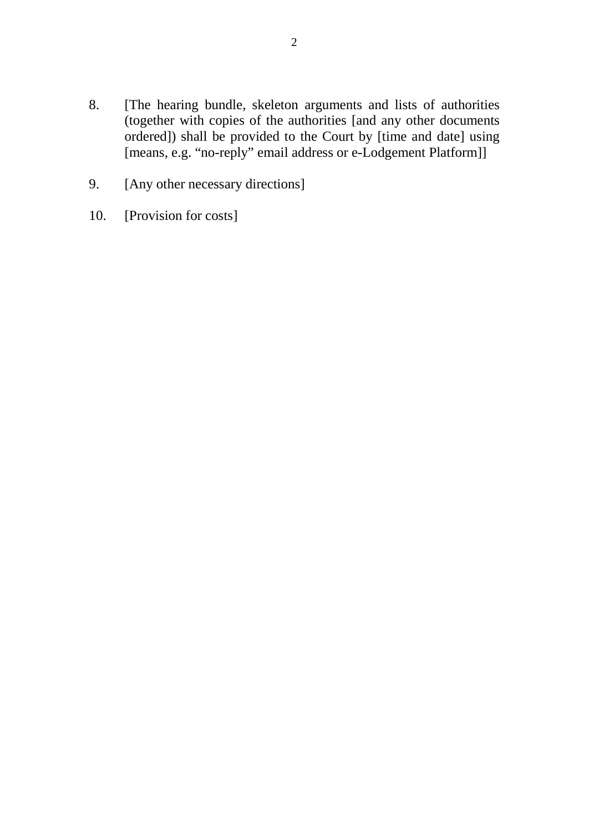- 8. [The hearing bundle, skeleton arguments and lists of authorities (together with copies of the authorities [and any other documents ordered]) shall be provided to the Court by [time and date] using [means, e.g. "no-reply" email address or e-Lodgement Platform]]
- 9. [Any other necessary directions]
- 10. [Provision for costs]